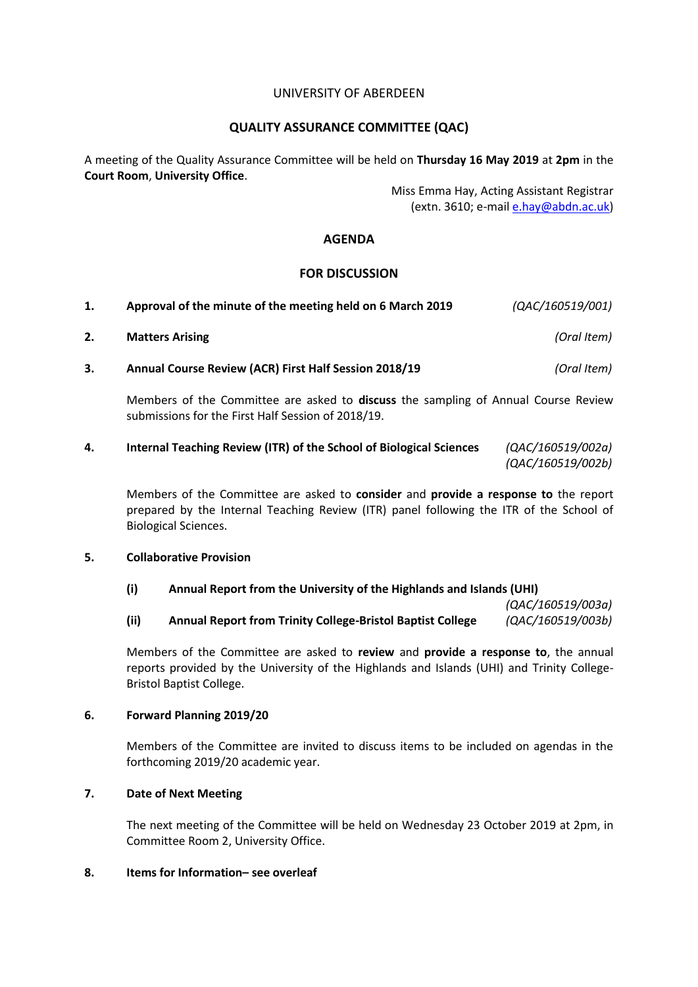## UNIVERSITY OF ABERDEEN

# **QUALITY ASSURANCE COMMITTEE (QAC)**

A meeting of the Quality Assurance Committee will be held on **Thursday 16 May 2019** at **2pm** in the **Court Room**, **University Office**.

> Miss Emma Hay, Acting Assistant Registrar (extn. 3610; e-mail [e.hay@abdn.ac.uk\)](mailto:e.hay@abdn.ac.uk)

# **AGENDA**

# **FOR DISCUSSION**

| 1. | Approval of the minute of the meeting held on 6 March 2019 | (QAC/160519/001) |
|----|------------------------------------------------------------|------------------|
| 2. | <b>Matters Arising</b>                                     | (Oral Item)      |
| 3. | Annual Course Review (ACR) First Half Session 2018/19      | (Oral Item)      |

Members of the Committee are asked to **discuss** the sampling of Annual Course Review submissions for the First Half Session of 2018/19.

# **4. Internal Teaching Review (ITR) of the School of Biological Sciences** *(QAC/160519/002a) (QAC/160519/002b)*

Members of the Committee are asked to **consider** and **provide a response to** the report prepared by the Internal Teaching Review (ITR) panel following the ITR of the School of Biological Sciences.

## **5. Collaborative Provision**

## **(i) Annual Report from the University of the Highlands and Islands (UHI)**

|      |                                                                   | (QAC/160519/003a) |
|------|-------------------------------------------------------------------|-------------------|
| (ii) | <b>Annual Report from Trinity College-Bristol Baptist College</b> | (QAC/160519/003b) |

Members of the Committee are asked to **review** and **provide a response to**, the annual reports provided by the University of the Highlands and Islands (UHI) and Trinity College-Bristol Baptist College.

## **6. Forward Planning 2019/20**

Members of the Committee are invited to discuss items to be included on agendas in the forthcoming 2019/20 academic year.

# **7. Date of Next Meeting**

The next meeting of the Committee will be held on Wednesday 23 October 2019 at 2pm, in Committee Room 2, University Office.

## **8. Items for Information– see overleaf**